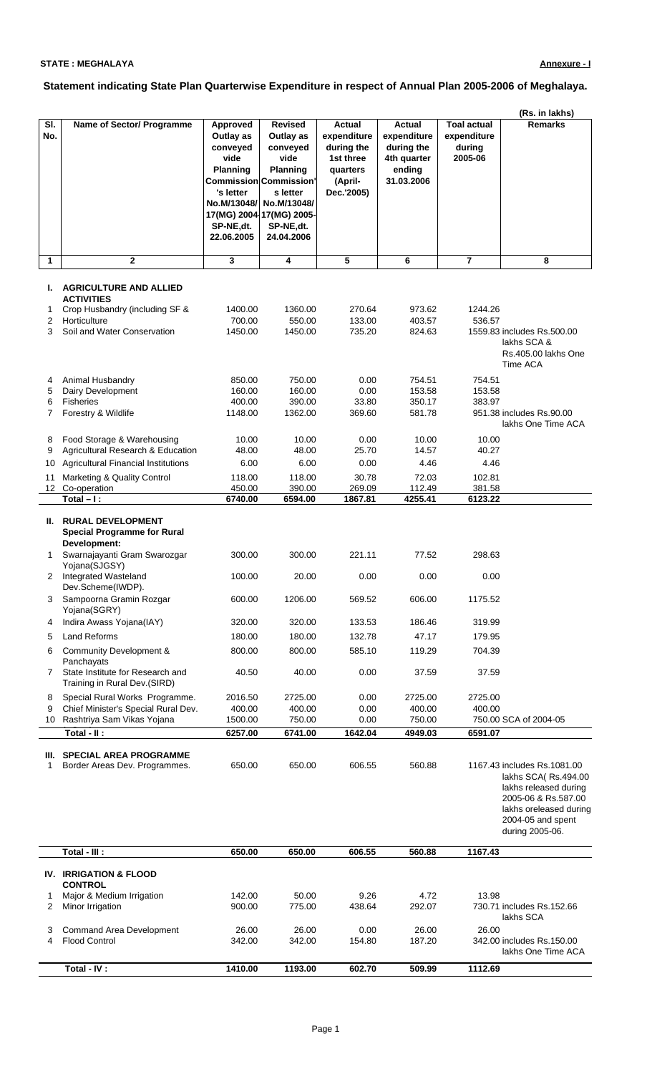## **STATE : MEGHALAYA**

## **Statement indicating State Plan Quarterwise Expenditure in respect of Annual Plan 2005-2006 of Meghalaya.**

|                 |                                                                                |                                                                                                                            |                                                                                                                                                                                |                                                                                              |                                                                            |                                                        | (Rs. in lakhs)                                                                                                                                                       |
|-----------------|--------------------------------------------------------------------------------|----------------------------------------------------------------------------------------------------------------------------|--------------------------------------------------------------------------------------------------------------------------------------------------------------------------------|----------------------------------------------------------------------------------------------|----------------------------------------------------------------------------|--------------------------------------------------------|----------------------------------------------------------------------------------------------------------------------------------------------------------------------|
| SI.<br>No.      | Name of Sector/ Programme                                                      | <b>Approved</b><br>Outlay as<br>conveyed<br>vide<br><b>Planning</b><br>'s letter<br>No.M/13048/<br>SP-NE,dt.<br>22.06.2005 | <b>Revised</b><br>Outlay as<br>conveyed<br>vide<br>Planning<br><b>Commission Commission'</b><br>s letter<br>No.M/13048/<br>17(MG) 2004 17(MG) 2005-<br>SP-NE,dt.<br>24.04.2006 | <b>Actual</b><br>expenditure<br>during the<br>1st three<br>quarters<br>(April-<br>Dec.'2005) | Actual<br>expenditure<br>during the<br>4th quarter<br>ending<br>31.03.2006 | <b>Toal actual</b><br>expenditure<br>during<br>2005-06 | <b>Remarks</b>                                                                                                                                                       |
| 1               | $\mathbf 2$                                                                    | 3                                                                                                                          | 4                                                                                                                                                                              | 5                                                                                            | 6                                                                          | 7                                                      | 8                                                                                                                                                                    |
| ı.              | <b>AGRICULTURE AND ALLIED</b><br><b>ACTIVITIES</b>                             |                                                                                                                            |                                                                                                                                                                                |                                                                                              |                                                                            |                                                        |                                                                                                                                                                      |
| 1               | Crop Husbandry (including SF &                                                 | 1400.00                                                                                                                    | 1360.00                                                                                                                                                                        | 270.64                                                                                       | 973.62                                                                     | 1244.26                                                |                                                                                                                                                                      |
| 2               | Horticulture                                                                   | 700.00                                                                                                                     | 550.00                                                                                                                                                                         | 133.00                                                                                       | 403.57                                                                     | 536.57                                                 |                                                                                                                                                                      |
| 3               | Soil and Water Conservation                                                    | 1450.00                                                                                                                    | 1450.00                                                                                                                                                                        | 735.20                                                                                       | 824.63                                                                     |                                                        | 1559.83 includes Rs.500.00<br>lakhs SCA &<br>Rs.405.00 lakhs One<br>Time ACA                                                                                         |
| 4               | Animal Husbandry                                                               | 850.00                                                                                                                     | 750.00                                                                                                                                                                         | 0.00                                                                                         | 754.51                                                                     | 754.51                                                 |                                                                                                                                                                      |
| 5<br>6          | Dairy Development<br>Fisheries                                                 | 160.00<br>400.00                                                                                                           | 160.00<br>390.00                                                                                                                                                               | 0.00<br>33.80                                                                                | 153.58<br>350.17                                                           | 153.58<br>383.97                                       |                                                                                                                                                                      |
| 7               | Forestry & Wildlife                                                            | 1148.00                                                                                                                    | 1362.00                                                                                                                                                                        | 369.60                                                                                       | 581.78                                                                     |                                                        | 951.38 includes Rs.90.00<br>lakhs One Time ACA                                                                                                                       |
| 8               | Food Storage & Warehousing                                                     | 10.00                                                                                                                      | 10.00                                                                                                                                                                          | 0.00                                                                                         | 10.00                                                                      | 10.00                                                  |                                                                                                                                                                      |
| 9               | Agricultural Research & Education                                              | 48.00                                                                                                                      | 48.00                                                                                                                                                                          | 25.70                                                                                        | 14.57                                                                      | 40.27                                                  |                                                                                                                                                                      |
| 10<br>11        | <b>Agricultural Financial Institutions</b><br>Marketing & Quality Control      | 6.00<br>118.00                                                                                                             | 6.00<br>118.00                                                                                                                                                                 | 0.00<br>30.78                                                                                | 4.46<br>72.03                                                              | 4.46<br>102.81                                         |                                                                                                                                                                      |
| 12 <sub>2</sub> | Co-operation                                                                   | 450.00                                                                                                                     | 390.00                                                                                                                                                                         | 269.09                                                                                       | 112.49                                                                     | 381.58                                                 |                                                                                                                                                                      |
|                 | Total $-1$ :                                                                   | 6740.00                                                                                                                    | 6594.00                                                                                                                                                                        | 1867.81                                                                                      | 4255.41                                                                    | 6123.22                                                |                                                                                                                                                                      |
| II.             | <b>RURAL DEVELOPMENT</b><br><b>Special Programme for Rural</b><br>Development: |                                                                                                                            |                                                                                                                                                                                |                                                                                              |                                                                            |                                                        |                                                                                                                                                                      |
| 1<br>2          | Swarnajayanti Gram Swarozgar<br>Yojana(SJGSY)<br>Integrated Wasteland          | 300.00<br>100.00                                                                                                           | 300.00<br>20.00                                                                                                                                                                | 221.11<br>0.00                                                                               | 77.52<br>0.00                                                              | 298.63<br>0.00                                         |                                                                                                                                                                      |
| 3               | Dev.Scheme(IWDP).<br>Sampoorna Gramin Rozgar                                   | 600.00                                                                                                                     | 1206.00                                                                                                                                                                        | 569.52                                                                                       | 606.00                                                                     | 1175.52                                                |                                                                                                                                                                      |
| 4               | Yojana(SGRY)<br>Indira Awass Yojana(IAY)                                       | 320.00                                                                                                                     | 320.00                                                                                                                                                                         | 133.53                                                                                       | 186.46                                                                     | 319.99                                                 |                                                                                                                                                                      |
| 5               | <b>Land Reforms</b>                                                            | 180.00                                                                                                                     | 180.00                                                                                                                                                                         | 132.78                                                                                       | 47.17                                                                      | 179.95                                                 |                                                                                                                                                                      |
| 6               | Community Development &                                                        | 800.00                                                                                                                     | 800.00                                                                                                                                                                         | 585.10                                                                                       | 119.29                                                                     | 704.39                                                 |                                                                                                                                                                      |
| 7               | Panchayats<br>State Institute for Research and                                 | 40.50                                                                                                                      | 40.00                                                                                                                                                                          | 0.00                                                                                         | 37.59                                                                      | 37.59                                                  |                                                                                                                                                                      |
|                 | Training in Rural Dev.(SIRD)                                                   |                                                                                                                            |                                                                                                                                                                                |                                                                                              |                                                                            |                                                        |                                                                                                                                                                      |
| 8<br>9          | Special Rural Works Programme.<br>Chief Minister's Special Rural Dev.          | 2016.50<br>400.00                                                                                                          | 2725.00<br>400.00                                                                                                                                                              | 0.00<br>0.00                                                                                 | 2725.00<br>400.00                                                          | 2725.00<br>400.00                                      |                                                                                                                                                                      |
|                 | 10 Rashtriya Sam Vikas Yojana                                                  | 1500.00                                                                                                                    | 750.00                                                                                                                                                                         | 0.00                                                                                         | 750.00                                                                     |                                                        | 750.00 SCA of 2004-05                                                                                                                                                |
|                 | Total - II :                                                                   | 6257.00                                                                                                                    | 6741.00                                                                                                                                                                        | 1642.04                                                                                      | 4949.03                                                                    | 6591.07                                                |                                                                                                                                                                      |
| 1               | III. SPECIAL AREA PROGRAMME<br>Border Areas Dev. Programmes.                   | 650.00                                                                                                                     | 650.00                                                                                                                                                                         | 606.55                                                                                       | 560.88                                                                     |                                                        | 1167.43 includes Rs.1081.00<br>lakhs SCA(Rs.494.00<br>lakhs released during<br>2005-06 & Rs.587.00<br>lakhs oreleased during<br>2004-05 and spent<br>during 2005-06. |
|                 | Total - III :                                                                  | 650.00                                                                                                                     | 650.00                                                                                                                                                                         | 606.55                                                                                       | 560.88                                                                     | 1167.43                                                |                                                                                                                                                                      |
|                 | IV. IRRIGATION & FLOOD                                                         |                                                                                                                            |                                                                                                                                                                                |                                                                                              |                                                                            |                                                        |                                                                                                                                                                      |
| 1<br>2          | <b>CONTROL</b><br>Major & Medium Irrigation<br>Minor Irrigation                | 142.00<br>900.00                                                                                                           | 50.00<br>775.00                                                                                                                                                                | 9.26<br>438.64                                                                               | 4.72<br>292.07                                                             | 13.98                                                  | 730.71 includes Rs.152.66<br>lakhs SCA                                                                                                                               |
| 3<br>4          | Command Area Development<br><b>Flood Control</b>                               | 26.00<br>342.00                                                                                                            | 26.00<br>342.00                                                                                                                                                                | 0.00<br>154.80                                                                               | 26.00<br>187.20                                                            | 26.00                                                  | 342.00 includes Rs.150.00<br>lakhs One Time ACA                                                                                                                      |
|                 | Total - IV :                                                                   | 1410.00                                                                                                                    | 1193.00                                                                                                                                                                        | 602.70                                                                                       | 509.99                                                                     | 1112.69                                                |                                                                                                                                                                      |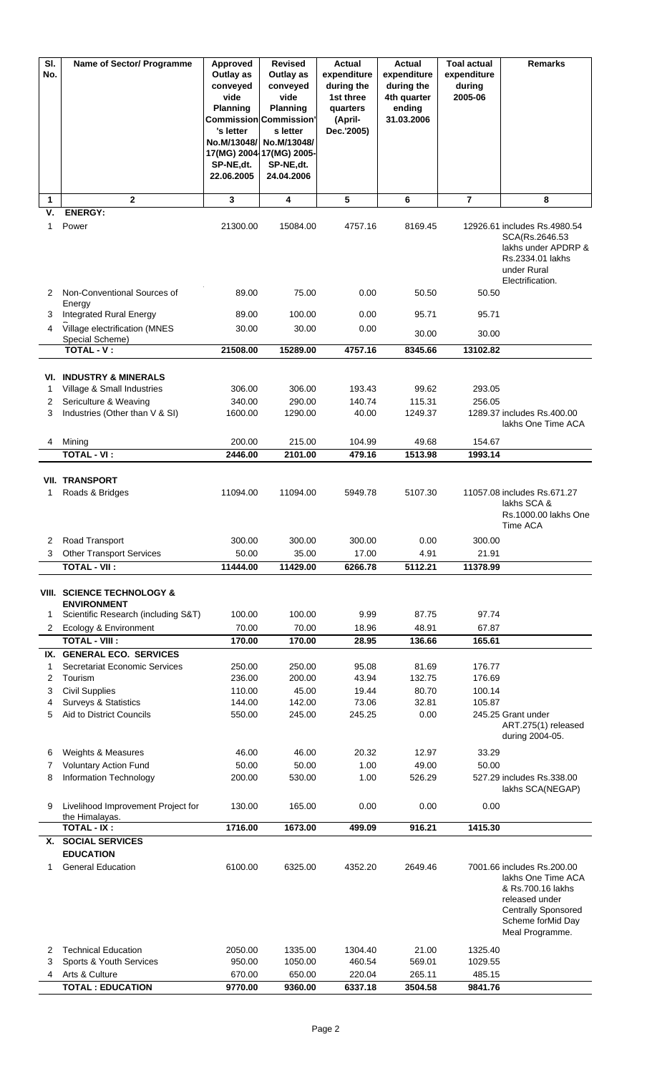| $\overline{\mathsf{SI}}$ .<br>No. | Name of Sector/ Programme                                                               | Approved<br>Outlay as<br>conveyed<br>vide<br>Planning<br>'s letter<br>No.M/13048/<br>SP-NE,dt.<br>22.06.2005 | <b>Revised</b><br>Outlay as<br>conveyed<br>vide<br><b>Planning</b><br><b>Commission Commission'</b><br>s letter<br>No.M/13048/<br>17(MG) 2004 17(MG) 2005-<br>SP-NE,dt.<br>24.04.2006 | <b>Actual</b><br>expenditure<br>during the<br>1st three<br>quarters<br>(April-<br>Dec.'2005) | <b>Actual</b><br>expenditure<br>during the<br>4th quarter<br>ending<br>31.03.2006 | <b>Toal actual</b><br>expenditure<br>during<br>2005-06 | <b>Remarks</b>                                                                                                                                                |
|-----------------------------------|-----------------------------------------------------------------------------------------|--------------------------------------------------------------------------------------------------------------|---------------------------------------------------------------------------------------------------------------------------------------------------------------------------------------|----------------------------------------------------------------------------------------------|-----------------------------------------------------------------------------------|--------------------------------------------------------|---------------------------------------------------------------------------------------------------------------------------------------------------------------|
| 1                                 | $\overline{2}$                                                                          | 3                                                                                                            | 4                                                                                                                                                                                     | 5                                                                                            | 6                                                                                 | $\overline{7}$                                         | 8                                                                                                                                                             |
| ٧.<br>1                           | <b>ENERGY:</b><br>Power                                                                 | 21300.00                                                                                                     | 15084.00                                                                                                                                                                              | 4757.16                                                                                      | 8169.45                                                                           |                                                        | 12926.61 includes Rs.4980.54<br>SCA(Rs.2646.53<br>lakhs under APDRP &<br>Rs.2334.01 lakhs<br>under Rural<br>Electrification.                                  |
| 2                                 | Non-Conventional Sources of<br>Energy                                                   | 89.00                                                                                                        | 75.00                                                                                                                                                                                 | 0.00                                                                                         | 50.50                                                                             | 50.50                                                  |                                                                                                                                                               |
| 3                                 | <b>Integrated Rural Energy</b>                                                          | 89.00                                                                                                        | 100.00                                                                                                                                                                                | 0.00                                                                                         | 95.71                                                                             | 95.71                                                  |                                                                                                                                                               |
| 4                                 | Village electrification (MNES<br>Special Scheme)                                        | 30.00                                                                                                        | 30.00                                                                                                                                                                                 | 0.00                                                                                         | 30.00                                                                             | 30.00                                                  |                                                                                                                                                               |
|                                   | <b>TOTAL - V:</b>                                                                       | 21508.00                                                                                                     | 15289.00                                                                                                                                                                              | 4757.16                                                                                      | 8345.66                                                                           | 13102.82                                               |                                                                                                                                                               |
|                                   |                                                                                         |                                                                                                              |                                                                                                                                                                                       |                                                                                              |                                                                                   |                                                        |                                                                                                                                                               |
| 1                                 | <b>VI. INDUSTRY &amp; MINERALS</b><br>Village & Small Industries                        | 306.00                                                                                                       | 306.00                                                                                                                                                                                | 193.43                                                                                       | 99.62                                                                             | 293.05                                                 |                                                                                                                                                               |
| 2                                 | Sericulture & Weaving                                                                   | 340.00                                                                                                       | 290.00                                                                                                                                                                                | 140.74                                                                                       | 115.31                                                                            | 256.05                                                 |                                                                                                                                                               |
| 3                                 | Industries (Other than V & SI)                                                          | 1600.00                                                                                                      | 1290.00                                                                                                                                                                               | 40.00                                                                                        | 1249.37                                                                           |                                                        | 1289.37 includes Rs.400.00<br>lakhs One Time ACA                                                                                                              |
| 4                                 | Mining<br><b>TOTAL - VI:</b>                                                            | 200.00<br>2446.00                                                                                            | 215.00<br>2101.00                                                                                                                                                                     | 104.99<br>479.16                                                                             | 49.68<br>1513.98                                                                  | 154.67<br>1993.14                                      |                                                                                                                                                               |
|                                   |                                                                                         |                                                                                                              |                                                                                                                                                                                       |                                                                                              |                                                                                   |                                                        |                                                                                                                                                               |
| 1                                 | <b>VII. TRANSPORT</b><br>Roads & Bridges                                                | 11094.00                                                                                                     | 11094.00                                                                                                                                                                              | 5949.78                                                                                      | 5107.30                                                                           |                                                        | 11057.08 includes Rs.671.27<br>lakhs SCA &<br>Rs.1000.00 lakhs One<br>Time ACA                                                                                |
| 2                                 | Road Transport                                                                          | 300.00                                                                                                       | 300.00                                                                                                                                                                                | 300.00                                                                                       | 0.00                                                                              | 300.00                                                 |                                                                                                                                                               |
| 3                                 | <b>Other Transport Services</b>                                                         | 50.00                                                                                                        | 35.00                                                                                                                                                                                 | 17.00                                                                                        | 4.91                                                                              | 21.91                                                  |                                                                                                                                                               |
|                                   | <b>TOTAL - VII:</b>                                                                     | 11444.00                                                                                                     | 11429.00                                                                                                                                                                              | 6266.78                                                                                      | 5112.21                                                                           | 11378.99                                               |                                                                                                                                                               |
| 1                                 | VIII. SCIENCE TECHNOLOGY &<br><b>ENVIRONMENT</b><br>Scientific Research (including S&T) | 100.00                                                                                                       | 100.00                                                                                                                                                                                | 9.99                                                                                         | 87.75                                                                             | 97.74                                                  |                                                                                                                                                               |
| $\mathbf{2}$                      | Ecology & Environment                                                                   | 70.00                                                                                                        | 70.00                                                                                                                                                                                 | 18.96                                                                                        | 48.91                                                                             | 67.87                                                  |                                                                                                                                                               |
|                                   | <b>TOTAL - VIII:</b>                                                                    | 170.00                                                                                                       | 170.00                                                                                                                                                                                | 28.95                                                                                        | 136.66                                                                            | 165.61                                                 |                                                                                                                                                               |
| 1                                 | IX. GENERAL ECO. SERVICES<br>Secretariat Economic Services                              | 250.00                                                                                                       | 250.00                                                                                                                                                                                | 95.08                                                                                        | 81.69                                                                             | 176.77                                                 |                                                                                                                                                               |
| 2                                 | Tourism                                                                                 | 236.00                                                                                                       | 200.00                                                                                                                                                                                | 43.94                                                                                        | 132.75                                                                            | 176.69                                                 |                                                                                                                                                               |
| 3                                 | <b>Civil Supplies</b>                                                                   | 110.00                                                                                                       | 45.00                                                                                                                                                                                 | 19.44                                                                                        | 80.70                                                                             | 100.14                                                 |                                                                                                                                                               |
| 4<br>5                            | <b>Surveys &amp; Statistics</b><br>Aid to District Councils                             | 144.00<br>550.00                                                                                             | 142.00<br>245.00                                                                                                                                                                      | 73.06<br>245.25                                                                              | 32.81<br>0.00                                                                     | 105.87                                                 | 245.25 Grant under<br>ART.275(1) released<br>during 2004-05.                                                                                                  |
| 6                                 | Weights & Measures                                                                      | 46.00                                                                                                        | 46.00                                                                                                                                                                                 | 20.32                                                                                        | 12.97                                                                             | 33.29                                                  |                                                                                                                                                               |
| 7<br>8                            | <b>Voluntary Action Fund</b><br>Information Technology                                  | 50.00<br>200.00                                                                                              | 50.00<br>530.00                                                                                                                                                                       | 1.00<br>1.00                                                                                 | 49.00<br>526.29                                                                   | 50.00                                                  | 527.29 includes Rs.338.00                                                                                                                                     |
| 9                                 | Livelihood Improvement Project for                                                      | 130.00                                                                                                       | 165.00                                                                                                                                                                                | 0.00                                                                                         | 0.00                                                                              | 0.00                                                   | lakhs SCA(NEGAP)                                                                                                                                              |
|                                   | the Himalayas.                                                                          |                                                                                                              |                                                                                                                                                                                       |                                                                                              |                                                                                   |                                                        |                                                                                                                                                               |
| Х.                                | <b>TOTAL - IX:</b><br><b>SOCIAL SERVICES</b>                                            | 1716.00                                                                                                      | 1673.00                                                                                                                                                                               | 499.09                                                                                       | 916.21                                                                            | 1415.30                                                |                                                                                                                                                               |
|                                   | <b>EDUCATION</b>                                                                        |                                                                                                              |                                                                                                                                                                                       |                                                                                              |                                                                                   |                                                        |                                                                                                                                                               |
| 1                                 | <b>General Education</b>                                                                | 6100.00                                                                                                      | 6325.00                                                                                                                                                                               | 4352.20                                                                                      | 2649.46                                                                           |                                                        | 7001.66 includes Rs.200.00<br>lakhs One Time ACA<br>& Rs.700.16 lakhs<br>released under<br><b>Centrally Sponsored</b><br>Scheme forMid Day<br>Meal Programme. |
| 2                                 | <b>Technical Education</b>                                                              | 2050.00                                                                                                      | 1335.00                                                                                                                                                                               | 1304.40                                                                                      | 21.00                                                                             | 1325.40                                                |                                                                                                                                                               |
| 3<br>4                            | Sports & Youth Services<br>Arts & Culture                                               | 950.00<br>670.00                                                                                             | 1050.00<br>650.00                                                                                                                                                                     | 460.54<br>220.04                                                                             | 569.01<br>265.11                                                                  | 1029.55<br>485.15                                      |                                                                                                                                                               |
|                                   | <b>TOTAL: EDUCATION</b>                                                                 | 9770.00                                                                                                      | 9360.00                                                                                                                                                                               | 6337.18                                                                                      | 3504.58                                                                           | 9841.76                                                |                                                                                                                                                               |